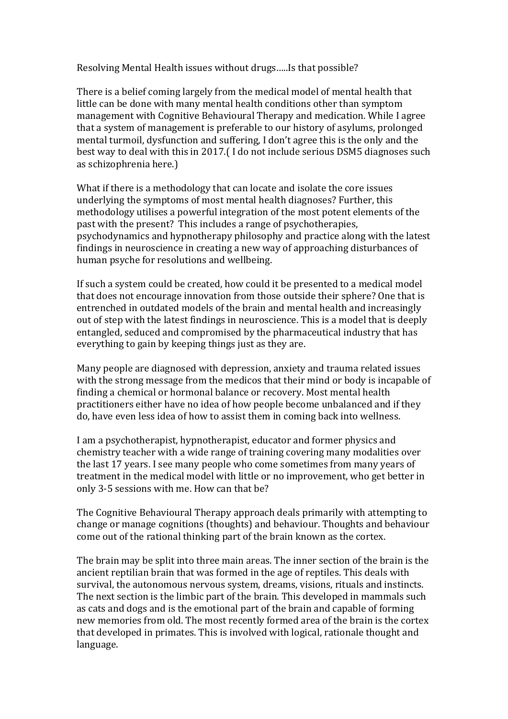Resolving Mental Health issues without drugs.....Is that possible?

There is a belief coming largely from the medical model of mental health that little can be done with many mental health conditions other than symptom management with Cognitive Behavioural Therapy and medication. While I agree that a system of management is preferable to our history of asylums, prolonged mental turmoil, dysfunction and suffering. I don't agree this is the only and the best way to deal with this in 2017.(I do not include serious DSM5 diagnoses such as schizophrenia here.)

What if there is a methodology that can locate and isolate the core issues underlying the symptoms of most mental health diagnoses? Further, this methodology utilises a powerful integration of the most potent elements of the past with the present? This includes a range of psychotherapies, psychodynamics and hypnotherapy philosophy and practice along with the latest findings in neuroscience in creating a new way of approaching disturbances of human psyche for resolutions and wellbeing.

If such a system could be created, how could it be presented to a medical model that does not encourage innovation from those outside their sphere? One that is entrenched in outdated models of the brain and mental health and increasingly out of step with the latest findings in neuroscience. This is a model that is deeply entangled, seduced and compromised by the pharmaceutical industry that has everything to gain by keeping things just as they are.

Many people are diagnosed with depression, anxiety and trauma related issues with the strong message from the medicos that their mind or body is incapable of finding a chemical or hormonal balance or recovery. Most mental health practitioners either have no idea of how people become unbalanced and if they do, have even less idea of how to assist them in coming back into wellness.

I am a psychotherapist, hypnotherapist, educator and former physics and chemistry teacher with a wide range of training covering many modalities over the last 17 years. I see many people who come sometimes from many years of treatment in the medical model with little or no improvement, who get better in only 3-5 sessions with me. How can that be?

The Cognitive Behavioural Therapy approach deals primarily with attempting to change or manage cognitions (thoughts) and behaviour. Thoughts and behaviour come out of the rational thinking part of the brain known as the cortex.

The brain may be split into three main areas. The inner section of the brain is the ancient reptilian brain that was formed in the age of reptiles. This deals with survival, the autonomous nervous system, dreams, visions, rituals and instincts. The next section is the limbic part of the brain. This developed in mammals such as cats and dogs and is the emotional part of the brain and capable of forming new memories from old. The most recently formed area of the brain is the cortex that developed in primates. This is involved with logical, rationale thought and language.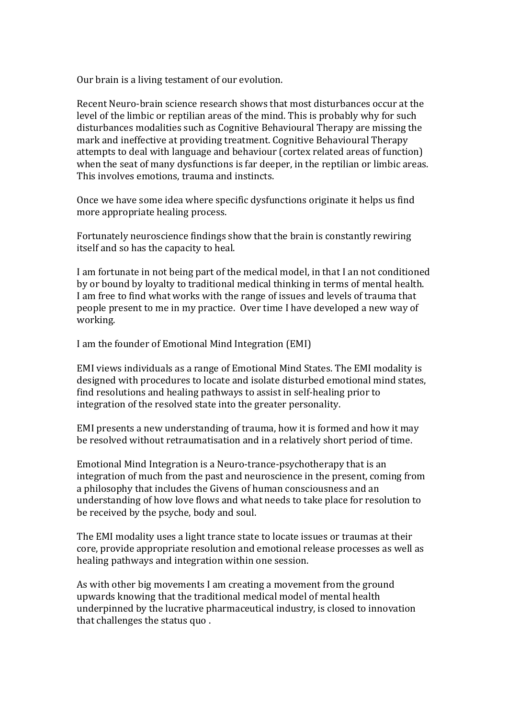Our brain is a living testament of our evolution.

Recent Neuro-brain science research shows that most disturbances occur at the level of the limbic or reptilian areas of the mind. This is probably why for such disturbances modalities such as Cognitive Behavioural Therapy are missing the mark and ineffective at providing treatment. Cognitive Behavioural Therapy attempts to deal with language and behaviour (cortex related areas of function) when the seat of many dysfunctions is far deeper, in the reptilian or limbic areas. This involves emotions, trauma and instincts.

Once we have some idea where specific dysfunctions originate it helps us find more appropriate healing process.

Fortunately neuroscience findings show that the brain is constantly rewiring itself and so has the capacity to heal.

I am fortunate in not being part of the medical model, in that I an not conditioned by or bound by loyalty to traditional medical thinking in terms of mental health. I am free to find what works with the range of issues and levels of trauma that people present to me in my practice. Over time I have developed a new way of working.

I am the founder of Emotional Mind Integration (EMI)

EMI views individuals as a range of Emotional Mind States. The EMI modality is designed with procedures to locate and isolate disturbed emotional mind states, find resolutions and healing pathways to assist in self-healing prior to integration of the resolved state into the greater personality.

EMI presents a new understanding of trauma, how it is formed and how it may be resolved without retraumatisation and in a relatively short period of time.

Emotional Mind Integration is a Neuro-trance-psychotherapy that is an integration of much from the past and neuroscience in the present, coming from a philosophy that includes the Givens of human consciousness and an understanding of how love flows and what needs to take place for resolution to be received by the psyche, body and soul.

The EMI modality uses a light trance state to locate issues or traumas at their core, provide appropriate resolution and emotional release processes as well as healing pathways and integration within one session.

As with other big movements I am creating a movement from the ground upwards knowing that the traditional medical model of mental health underpinned by the lucrative pharmaceutical industry, is closed to innovation that challenges the status quo.